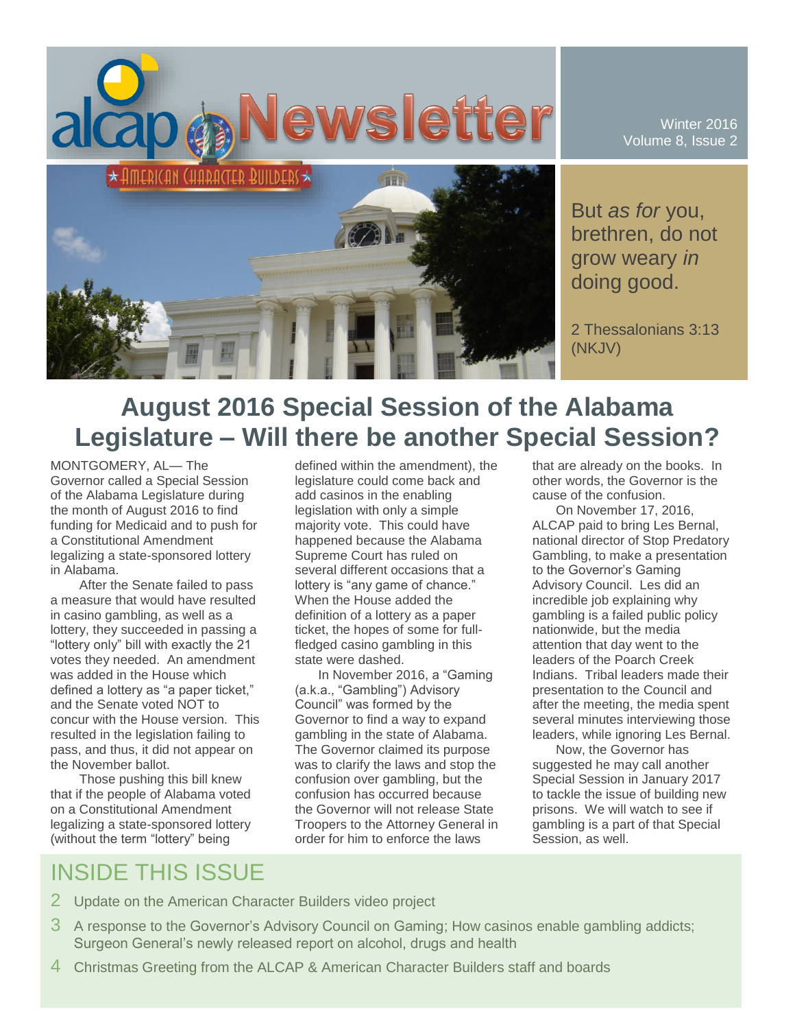

But *as for* you, brethren, do not grow weary *in* doing good.

Winter 2016 Volume 8, Issue 2

2 Thessalonians 3:13 (NKJV)

# **August 2016 Special Session of the Alabama Legislature – Will there be another Special Session?**

MONTGOMERY, AL— The Governor called a Special Session of the Alabama Legislature during the month of August 2016 to find funding for Medicaid and to push for a Constitutional Amendment legalizing a state-sponsored lottery in Alabama.

After the Senate failed to pass a measure that would have resulted in casino gambling, as well as a lottery, they succeeded in passing a "lottery only" bill with exactly the 21 votes they needed. An amendment was added in the House which defined a lottery as "a paper ticket," and the Senate voted NOT to concur with the House version. This resulted in the legislation failing to pass, and thus, it did not appear on the November ballot.

Those pushing this bill knew that if the people of Alabama voted on a Constitutional Amendment legalizing a state-sponsored lottery (without the term "lottery" being

defined within the amendment), the legislature could come back and add casinos in the enabling legislation with only a simple majority vote. This could have happened because the Alabama Supreme Court has ruled on several different occasions that a lottery is "any game of chance." When the House added the definition of a lottery as a paper ticket, the hopes of some for fullfledged casino gambling in this state were dashed.

In November 2016, a "Gaming (a.k.a., "Gambling") Advisory Council" was formed by the Governor to find a way to expand gambling in the state of Alabama. The Governor claimed its purpose was to clarify the laws and stop the confusion over gambling, but the confusion has occurred because the Governor will not release State Troopers to the Attorney General in order for him to enforce the laws

that are already on the books. In other words, the Governor is the cause of the confusion.

On November 17, 2016, ALCAP paid to bring Les Bernal, national director of Stop Predatory Gambling, to make a presentation to the Governor's Gaming Advisory Council. Les did an incredible job explaining why gambling is a failed public policy nationwide, but the media attention that day went to the leaders of the Poarch Creek Indians. Tribal leaders made their presentation to the Council and after the meeting, the media spent several minutes interviewing those leaders, while ignoring Les Bernal.

Now, the Governor has suggested he may call another Special Session in January 2017 to tackle the issue of building new prisons. We will watch to see if gambling is a part of that Special Session, as well.

# INSIDE THIS ISSUE

- 2 Update on the American Character Builders video project
- 3 A response to the Governor's Advisory Council on Gaming; How casinos enable gambling addicts; Surgeon General's newly released report on alcohol, drugs and health
- 4 Christmas Greeting from the ALCAP & American Character Builders staff and boards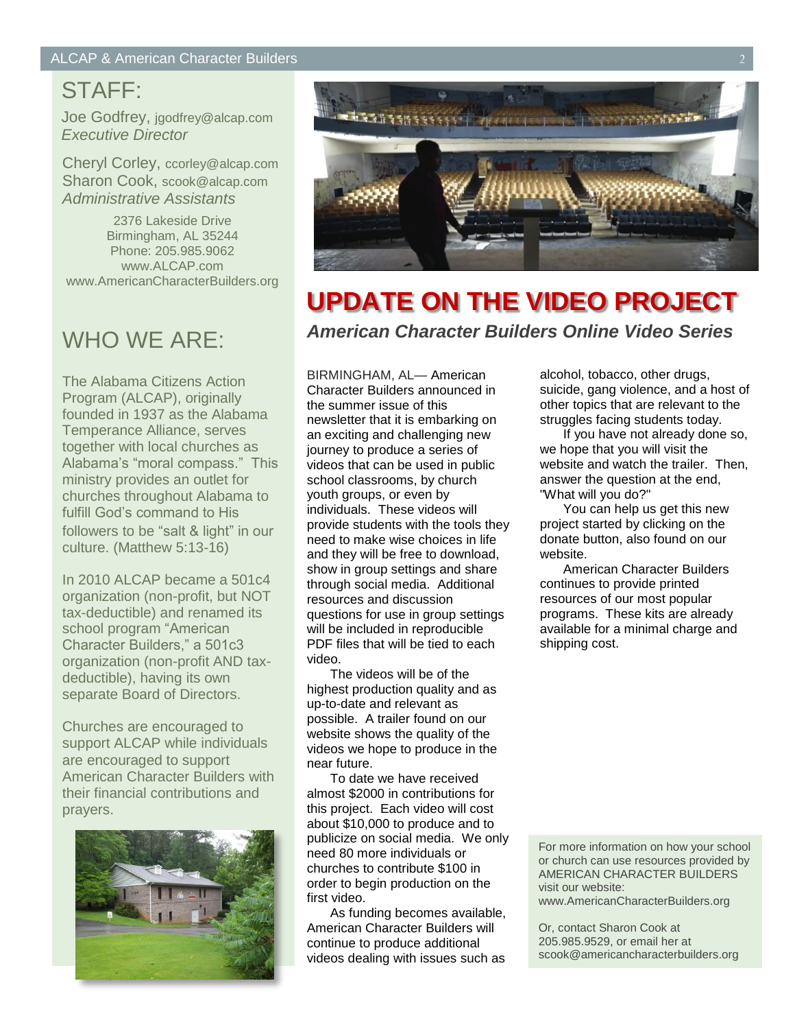## STAFF:

Joe Godfrey, jgodfrey@alcap.com *Executive Director*

Cheryl Corley, ccorley@alcap.com Sharon Cook, scook@alcap.com *Administrative Assistants*

2376 Lakeside Drive Birmingham, AL 35244 Phone: 205.985.9062 www.ALCAP.com www.AmericanCharacterBuilders.org

# WHO WE ARE:

The Alabama Citizens Action Program (ALCAP), originally founded in 1937 as the Alabama Temperance Alliance, serves together with local churches as Alabama's "moral compass." This ministry provides an outlet for churches throughout Alabama to fulfill God's command to His followers to be "salt & light" in our culture. (Matthew 5:13-16)

In 2010 ALCAP became a 501c4 organization (non-profit, but NOT tax-deductible) and renamed its school program "American Character Builders," a 501c3 organization (non-profit AND taxdeductible), having its own separate Board of Directors.

Churches are encouraged to support ALCAP while individuals are encouraged to support American Character Builders with their financial contributions and prayers.





# **UPDATE ON THE VIDEO PROJECT** *American Character Builders Online Video Series*

BIRMINGHAM, AL— American Character Builders announced in the summer issue of this newsletter that it is embarking on an exciting and challenging new journey to produce a series of videos that can be used in public school classrooms, by church youth groups, or even by individuals. These videos will provide students with the tools they need to make wise choices in life and they will be free to download, show in group settings and share through social media. Additional resources and discussion questions for use in group settings will be included in reproducible PDF files that will be tied to each video.

The videos will be of the highest production quality and as up-to-date and relevant as possible. A trailer found on our website shows the quality of the videos we hope to produce in the near future.

To date we have received almost \$2000 in contributions for this project. Each video will cost about \$10,000 to produce and to publicize on social media. We only need 80 more individuals or churches to contribute \$100 in order to begin production on the first video.

As funding becomes available, American Character Builders will continue to produce additional videos dealing with issues such as

alcohol, tobacco, other drugs, suicide, gang violence, and a host of other topics that are relevant to the struggles facing students today.

If you have not already done so, we hope that you will visit the website and watch the trailer. Then, answer the question at the end, "What will you do?"

You can help us get this new project started by clicking on the donate button, also found on our website.

American Character Builders continues to provide printed resources of our most popular programs. These kits are already available for a minimal charge and shipping cost.

For more information on how your school or church can use resources provided by AMERICAN CHARACTER BUILDERS visit our website:

www.AmericanCharacterBuilders.org

Or, contact Sharon Cook at 205.985.9529, or email her at scook@americancharacterbuilders.org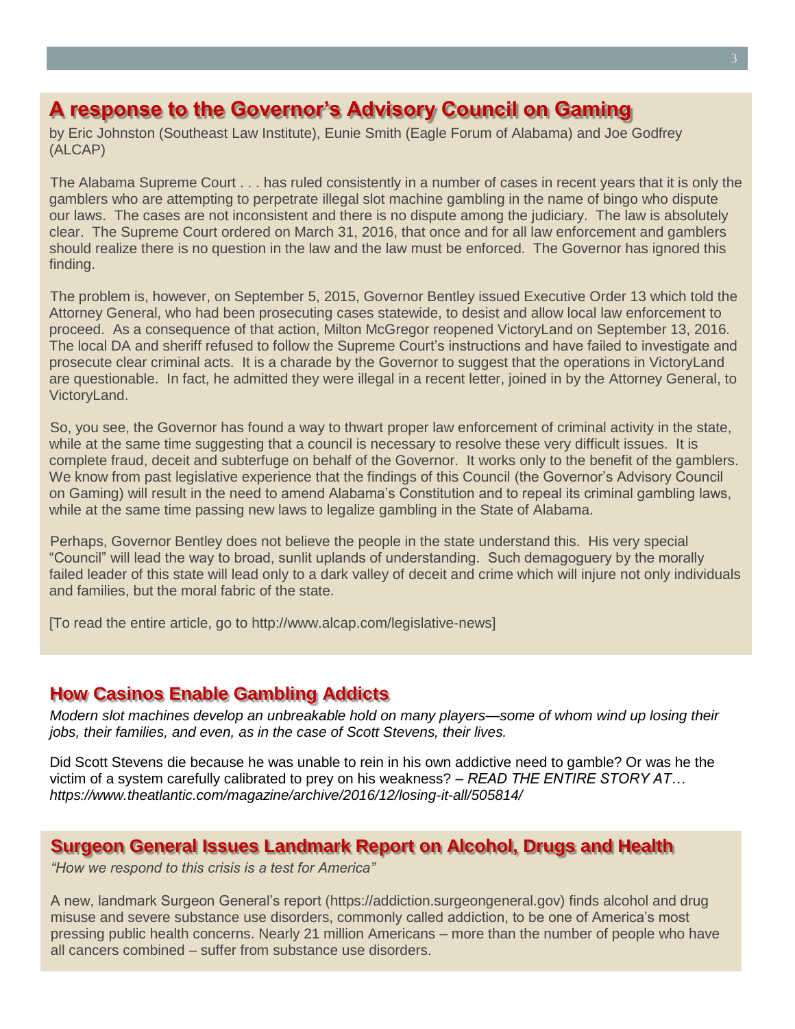### **A response to the Governor's Advisory Council on Gaming**

by Eric Johnston (Southeast Law Institute), Eunie Smith (Eagle Forum of Alabama) and Joe Godfrey (ALCAP)

The Alabama Supreme Court . . . has ruled consistently in a number of cases in recent years that it is only the gamblers who are attempting to perpetrate illegal slot machine gambling in the name of bingo who dispute our laws. The cases are not inconsistent and there is no dispute among the judiciary. The law is absolutely clear. The Supreme Court ordered on March 31, 2016, that once and for all law enforcement and gamblers should realize there is no question in the law and the law must be enforced. The Governor has ignored this finding.

The problem is, however, on September 5, 2015, Governor Bentley issued Executive Order 13 which told the Attorney General, who had been prosecuting cases statewide, to desist and allow local law enforcement to proceed. As a consequence of that action, Milton McGregor reopened VictoryLand on September 13, 2016. The local DA and sheriff refused to follow the Supreme Court's instructions and have failed to investigate and prosecute clear criminal acts. It is a charade by the Governor to suggest that the operations in VictoryLand are questionable. In fact, he admitted they were illegal in a recent letter, joined in by the Attorney General, to VictoryLand.

So, you see, the Governor has found a way to thwart proper law enforcement of criminal activity in the state, while at the same time suggesting that a council is necessary to resolve these very difficult issues. It is complete fraud, deceit and subterfuge on behalf of the Governor. It works only to the benefit of the gamblers. We know from past legislative experience that the findings of this Council (the Governor's Advisory Council on Gaming) will result in the need to amend Alabama's Constitution and to repeal its criminal gambling laws, while at the same time passing new laws to legalize gambling in the State of Alabama.

Perhaps, Governor Bentley does not believe the people in the state understand this. His very special "Council" will lead the way to broad, sunlit uplands of understanding. Such demagoguery by the morally failed leader of this state will lead only to a dark valley of deceit and crime which will injure not only individuals and families, but the moral fabric of the state.

[To read the entire article, go to http://www.alcap.com/legislative-news]

#### **How Casinos Enable Gambling Addicts**

*Modern slot machines develop an unbreakable hold on many players—some of whom wind up losing their jobs, their families, and even, as in the case of Scott Stevens, their lives.*

Did Scott Stevens die because he was unable to rein in his own addictive need to gamble? Or was he the victim of a system carefully calibrated to prey on his weakness? – *READ THE ENTIRE STORY AT… https://www.theatlantic.com/magazine/archive/2016/12/losing-it-all/505814/*

#### **Surgeon General Issues Landmark Report on Alcohol, Drugs and Health**

*"How we respond to this crisis is a test for America"*

A new, landmark Surgeon General's report (https://addiction.surgeongeneral.gov) finds alcohol and drug misuse and severe substance use disorders, commonly called addiction, to be one of America's most pressing public health concerns. Nearly 21 million Americans – more than the number of people who have all cancers combined – suffer from substance use disorders.